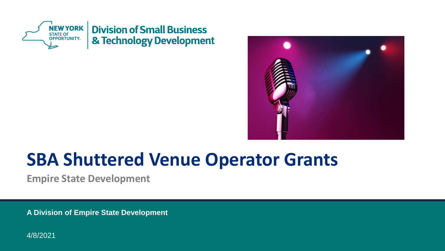



# **SBA Shuttered Venue Operator Grants**

**Empire State Development**

**A Division of Empire State Development** 

4/8/2021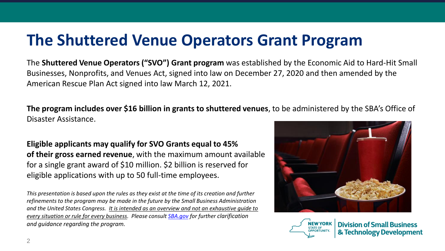### **The Shuttered Venue Operators Grant Program**

The **Shuttered Venue Operators ("SVO") Grant program** was established by the Economic Aid to Hard-Hit Small Businesses, Nonprofits, and Venues Act, signed into law on December 27, 2020 and then amended by the American Rescue Plan Act signed into law March 12, 2021.

**The program includes over \$16 billion in grants to shuttered venues**, to be administered by the SBA's Office of Disaster Assistance.

**Eligible applicants may qualify for SVO Grants equal to 45% of their gross earned revenue**, with the maximum amount available for a single grant award of \$10 million. \$2 billion is reserved for eligible applications with up to 50 full-time employees.

*This presentation is based upon the rules as they exist at the time of its creation and further refinements to the program may be made in the future by the Small Business Administration and the United States Congress. It is intended as an overview and not an exhaustive guide to every situation or rule for every business. Please consult [SBA.gov](https://www.sba.gov/funding-programs/loans/coronavirus-relief-options/shuttered-venue-operators-grant) for further clarification and guidance regarding the program.*





**Division of Small Business** & Technology Development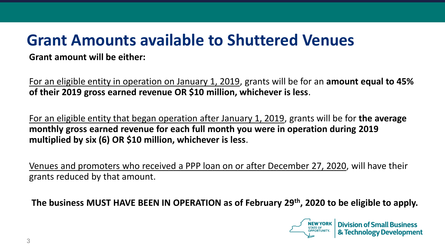## **Grant Amounts available to Shuttered Venues**

#### **Grant amount will be either:**

For an eligible entity in operation on January 1, 2019, grants will be for an **amount equal to 45% of their 2019 gross earned revenue OR \$10 million, whichever is less**.

For an eligible entity that began operation after January 1, 2019, grants will be for **the average monthly gross earned revenue for each full month you were in operation during 2019 multiplied by six (6) OR \$10 million, whichever is less**.

Venues and promoters who received a PPP loan on or after December 27, 2020, will have their grants reduced by that amount.

**The business MUST HAVE BEEN IN OPERATION as of February 29th, 2020 to be eligible to apply.**

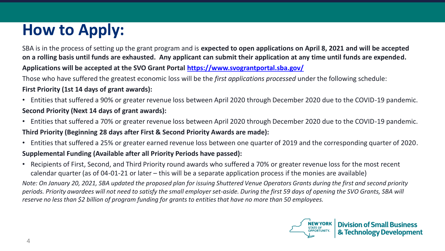# **How to Apply:**

SBA is in the process of setting up the grant program and is **expected to open applications on April 8, 2021 and will be accepted on a rolling basis until funds are exhausted. Any applicant can submit their application at any time until funds are expended. Applications will be accepted at the SVO Grant Portal <https://www.svograntportal.sba.gov/>**

Those who have suffered the greatest economic loss will be the *first applications processed* under the following schedule:

#### **First Priority (1st 14 days of grant awards):**

- Entities that suffered a 90% or greater revenue loss between April 2020 through December 2020 due to the COVID-19 pandemic. **Second Priority (Next 14 days of grant awards):**
- Entities that suffered a 70% or greater revenue loss between April 2020 through December 2020 due to the COVID-19 pandemic. **Third Priority (Beginning 28 days after First & Second Priority Awards are made):**
- Entities that suffered a 25% or greater earned revenue loss between one quarter of 2019 and the corresponding quarter of 2020.

#### **Supplemental Funding (Available after all Priority Periods have passed):**

• Recipients of First, Second, and Third Priority round awards who suffered a 70% or greater revenue loss for the most recent calendar quarter (as of 04-01-21 or later – this will be a separate application process if the monies are available)

*Note: On January 20, 2021, SBA updated the proposed plan for issuing Shuttered Venue Operators Grants during the first and second priority periods. Priority awardees will not need to satisfy the small employer set-aside. During the first 59 days of opening the SVO Grants, SBA will reserve no less than \$2 billion of program funding for grants to entities that have no more than 50 employees.*

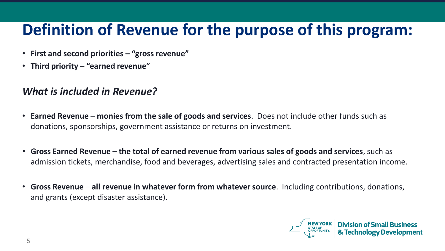### **Definition of Revenue for the purpose of this program:**

- **First and second priorities – "gross revenue"**
- **Third priority – "earned revenue"**

### *What is included in Revenue?*

- **Earned Revenue monies from the sale of goods and services**. Does not include other funds such as donations, sponsorships, government assistance or returns on investment.
- **Gross Earned Revenue the total of earned revenue from various sales of goods and services**, such as admission tickets, merchandise, food and beverages, advertising sales and contracted presentation income.
- **Gross Revenue all revenue in whatever form from whatever source**. Including contributions, donations, and grants (except disaster assistance).

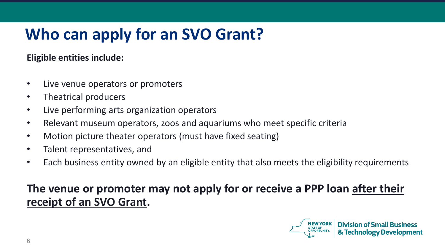# **Who can apply for an SVO Grant?**

### **Eligible entities include:**

- Live venue operators or promoters
- Theatrical producers
- Live performing arts organization operators
- Relevant museum operators, zoos and aquariums who meet specific criteria
- Motion picture theater operators (must have fixed seating)
- Talent representatives, and
- Each business entity owned by an eligible entity that also meets the eligibility requirements

### **The venue or promoter may not apply for or receive a PPP loan after their receipt of an SVO Grant.**

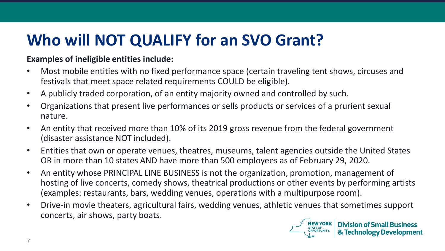## **Who will NOT QUALIFY for an SVO Grant?**

#### **Examples of ineligible entities include:**

- Most mobile entities with no fixed performance space (certain traveling tent shows, circuses and festivals that meet space related requirements COULD be eligible).
- A publicly traded corporation, of an entity majority owned and controlled by such.
- Organizations that present live performances or sells products or services of a prurient sexual nature.
- An entity that received more than 10% of its 2019 gross revenue from the federal government (disaster assistance NOT included).
- Entities that own or operate venues, theatres, museums, talent agencies outside the United States OR in more than 10 states AND have more than 500 employees as of February 29, 2020.
- An entity whose PRINCIPAL LINE BUSINESS is not the organization, promotion, management of hosting of live concerts, comedy shows, theatrical productions or other events by performing artists (examples: restaurants, bars, wedding venues, operations with a multipurpose room).
- Drive-in movie theaters, agricultural fairs, wedding venues, athletic venues that sometimes support concerts, air shows, party boats.

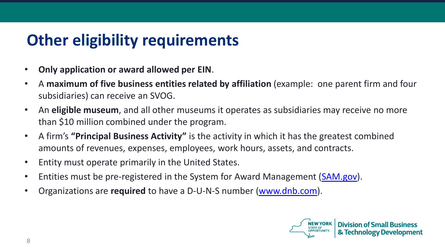### **Other eligibility requirements**

- **Only application or award allowed per EIN**.
- A **maximum of five business entities related by affiliation** (example: one parent firm and four subsidiaries) can receive an SVOG.
- An **eligible museum**, and all other museums it operates as subsidiaries may receive no more than \$10 million combined under the program.
- A firm's **"Principal Business Activity"** is the activity in which it has the greatest combined amounts of revenues, expenses, employees, work hours, assets, and contracts.
- Entity must operate primarily in the United States.
- Entities must be pre-registered in the System for Award Management ([SAM.gov\)](https://sam.gov/SAM/).
- Organizations are **required** to have a D-U-N-S number ([www.dnb.com](https://www.dnb.com/)).

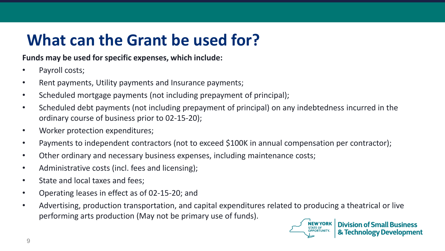## **What can the Grant be used for?**

#### **Funds may be used for specific expenses, which include:**

- Payroll costs;
- Rent payments, Utility payments and Insurance payments;
- Scheduled mortgage payments (not including prepayment of principal);
- Scheduled debt payments (not including prepayment of principal) on any indebtedness incurred in the ordinary course of business prior to 02-15-20);
- Worker protection expenditures;
- Payments to independent contractors (not to exceed \$100K in annual compensation per contractor);
- Other ordinary and necessary business expenses, including maintenance costs;
- Administrative costs (incl. fees and licensing);
- State and local taxes and fees;
- Operating leases in effect as of 02-15-20; and
- Advertising, production transportation, and capital expenditures related to producing a theatrical or live performing arts production (May not be primary use of funds).

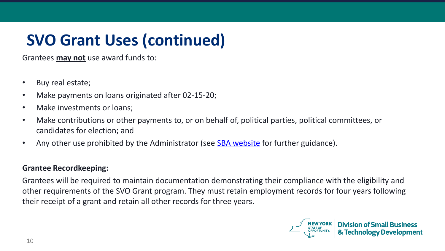# **SVO Grant Uses (continued)**

Grantees **may not** use award funds to:

- Buy real estate;
- Make payments on loans originated after 02-15-20;
- Make investments or loans;
- Make contributions or other payments to, or on behalf of, political parties, political committees, or candidates for election; and
- Any other use prohibited by the Administrator (see [SBA website](https://www.sba.gov/funding-programs/loans/coronavirus-relief-options/shuttered-venue-operators-grant) for further guidance).

#### **Grantee Recordkeeping:**

Grantees will be required to maintain documentation demonstrating their compliance with the eligibility and other requirements of the SVO Grant program. They must retain employment records for four years following their receipt of a grant and retain all other records for three years.

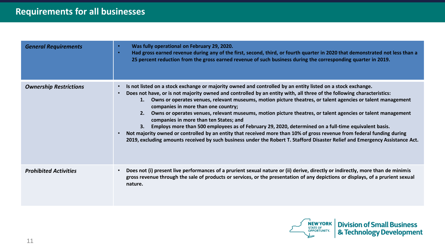| <b>General Requirements</b>   | Was fully operational on February 29, 2020.<br>$\bullet$<br>Had gross earned revenue during any of the first, second, third, or fourth quarter in 2020 that demonstrated not less than a<br>$\bullet$<br>25 percent reduction from the gross earned revenue of such business during the corresponding quarter in 2019.                                                                                                                                                                                                                                                                                                                                                                                                                                                                                                                                                                                                               |
|-------------------------------|--------------------------------------------------------------------------------------------------------------------------------------------------------------------------------------------------------------------------------------------------------------------------------------------------------------------------------------------------------------------------------------------------------------------------------------------------------------------------------------------------------------------------------------------------------------------------------------------------------------------------------------------------------------------------------------------------------------------------------------------------------------------------------------------------------------------------------------------------------------------------------------------------------------------------------------|
| <b>Ownership Restrictions</b> | Is not listed on a stock exchange or majority owned and controlled by an entity listed on a stock exchange.<br>Does not have, or is not majority owned and controlled by an entity with, all three of the following characteristics:<br>1. Owns or operates venues, relevant museums, motion picture theatres, or talent agencies or talent management<br>companies in more than one country;<br>Owns or operates venues, relevant museums, motion picture theatres, or talent agencies or talent management<br>2.<br>companies in more than ten States; and<br>Employs more than 500 employees as of February 29, 2020, determined on a full-time equivalent basis.<br>3.<br>Not majority owned or controlled by an entity that received more than 10% of gross revenue from federal funding during<br>2019, excluding amounts received by such business under the Robert T. Stafford Disaster Relief and Emergency Assistance Act. |
| <b>Prohibited Activities</b>  | Does not (i) present live performances of a prurient sexual nature or (ii) derive, directly or indirectly, more than de minimis<br>gross revenue through the sale of products or services, or the presentation of any depictions or displays, of a prurient sexual<br>nature.                                                                                                                                                                                                                                                                                                                                                                                                                                                                                                                                                                                                                                                        |

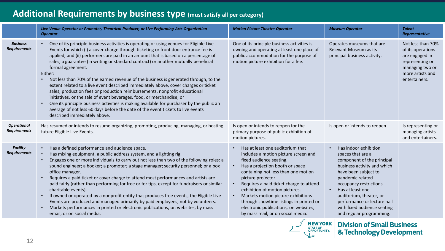### **Additional Requirements by business type (must satisfy all per category)**

|                                           | Live Venue Operator or Promoter, Theatrical Producer, or Live Performing Arts Organization<br><b>Operator</b>                                                                                                                                                                                                                                                                                                                                                                                                                                                                                                                                                                                                                                                                                                                                                                                                                                                  | <b>Motion Picture Theatre Operator</b>                                                                                                                                                                                                                                                                                                                                                                                                          | <b>Museum Operator</b>                                                                                                                                                                                                                                                                                                               | <b>Talent</b><br>Representative                                                                                                     |
|-------------------------------------------|----------------------------------------------------------------------------------------------------------------------------------------------------------------------------------------------------------------------------------------------------------------------------------------------------------------------------------------------------------------------------------------------------------------------------------------------------------------------------------------------------------------------------------------------------------------------------------------------------------------------------------------------------------------------------------------------------------------------------------------------------------------------------------------------------------------------------------------------------------------------------------------------------------------------------------------------------------------|-------------------------------------------------------------------------------------------------------------------------------------------------------------------------------------------------------------------------------------------------------------------------------------------------------------------------------------------------------------------------------------------------------------------------------------------------|--------------------------------------------------------------------------------------------------------------------------------------------------------------------------------------------------------------------------------------------------------------------------------------------------------------------------------------|-------------------------------------------------------------------------------------------------------------------------------------|
| <b>Business</b><br><b>Requirements</b>    | One of its principle business activities is operating or using venues for Eligible Live<br>Events for which (i) a cover charge through ticketing or front door entrance fee is<br>applied, and (ii) performers are paid in an amount that is based on a percentage of<br>sales, a guarantee (in writing or standard contract) or another mutually beneficial<br>formal agreement.<br>Either:<br>Not less than 70% of the earned revenue of the business is generated through, to the<br>$\bullet$<br>extent related to a live event described immediately above, cover charges or ticket<br>sales, production fees or production reimbursements, nonprofit educational<br>initiatives, or the sale of event beverages, food, or merchandise; or<br>One its principle business activities is making available for purchaser by the public an<br>average of not less 60 days before the date of the event tickets to live events<br>described immediately above. | One of its principle business activities is<br>owning and operating at least one place of<br>public accommodation for the purpose of<br>motion picture exhibition for a fee.                                                                                                                                                                                                                                                                    | Operates museums that are<br>Relevant Museum as its<br>principal business activity.                                                                                                                                                                                                                                                  | Not less than 70%<br>of its operations<br>are engaged in<br>representing or<br>managing two or<br>more artists and<br>entertainers. |
| <b>Operational</b><br><b>Requirements</b> | Has resumed or intends to resume organizing, promoting, producing, managing, or hosting<br>future Eligible Live Events.                                                                                                                                                                                                                                                                                                                                                                                                                                                                                                                                                                                                                                                                                                                                                                                                                                        | Is open or intends to reopen for the<br>primary purpose of public exhibition of<br>motion pictures.                                                                                                                                                                                                                                                                                                                                             | Is open or intends to reopen.                                                                                                                                                                                                                                                                                                        | Is representing or<br>managing artists<br>and entertainers.                                                                         |
| <b>Facility</b><br><b>Requirements</b>    | Has a defined performance and audience space.<br>$\bullet$<br>Has mixing equipment, a public address system, and a lighting rig.<br>Engages one or more individuals to carry out not less than two of the following roles: a<br>$\bullet$<br>sound engineer; a booker; a promoter; a stage manager; security personnel; or a box<br>office manager.<br>Requires a paid ticket or cover charge to attend most performances and artists are<br>paid fairly (rather than performing for free or for tips, except for fundraisers or similar<br>charitable events).<br>If owned or operated by a nonprofit entity that produces free events, the Eligible Live<br>Events are produced and managed primarily by paid employees, not by volunteers.<br>Markets performances in printed or electronic publications, on websites, by mass<br>$\bullet$<br>email, or on social media.                                                                                   | Has at least one auditorium that<br>includes a motion picture screen and<br>fixed audience seating.<br>Has a projection booth or space<br>containing not less than one motion<br>picture projector.<br>Requires a paid ticket charge to attend<br>exhibition of motion pictures.<br>Markets motion picture exhibitions<br>through showtime listings in printed or<br>electronic publications, on websites,<br>by mass mail, or on social media. | Has indoor exhibition<br>$\bullet$<br>spaces that are a<br>component of the principal<br>business activity and which<br>have been subject to<br>pandemic related<br>occupancy restrictions.<br>Has at least one<br>auditorium, theater, or<br>performance or lecture hall<br>with fixed audience seating<br>and regular programming. |                                                                                                                                     |



**Division of Small Business** & Technology Development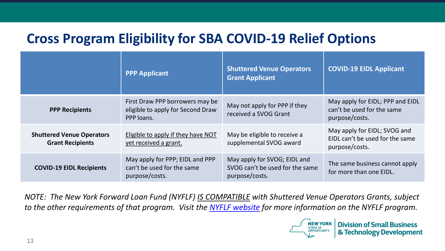### **Cross Program Eligibility for SBA COVID-19 Relief Options**

|                                                             | <b>PPP Applicant</b>                                                               | <b>Shuttered Venue Operators</b><br><b>Grant Applicant</b>                        | <b>COVID-19 EIDL Applicant</b>                                                    |
|-------------------------------------------------------------|------------------------------------------------------------------------------------|-----------------------------------------------------------------------------------|-----------------------------------------------------------------------------------|
| <b>PPP Recipients</b>                                       | First Draw PPP borrowers may be<br>eligible to apply for Second Draw<br>PPP loans. | May not apply for PPP if they<br>received a SVOG Grant                            | May apply for EIDL; PPP and EIDL<br>can't be used for the same<br>purpose/costs.  |
| <b>Shuttered Venue Operators</b><br><b>Grant Recipients</b> | Eligible to apply if they have NOT<br>yet received a grant.                        | May be eligible to receive a<br>supplemental SVOG award                           | May apply for EIDL; SVOG and<br>EIDL can't be used for the same<br>purpose/costs. |
| <b>COVID-19 EIDL Recipients</b>                             | May apply for PPP; EIDL and PPP<br>can't be used for the same<br>purpose/costs.    | May apply for SVOG; EIDL and<br>SVOG can't be used for the same<br>purpose/costs. | The same business cannot apply<br>for more than one EIDL.                         |

*NOTE: The New York Forward Loan Fund (NYFLF) IS COMPATIBLE with Shuttered Venue Operators Grants, subject to the other requirements of that program. Visit the [NYFLF website](https://esd.ny.gov/nyforwardloans-info) for more information on the NYFLF program.* 

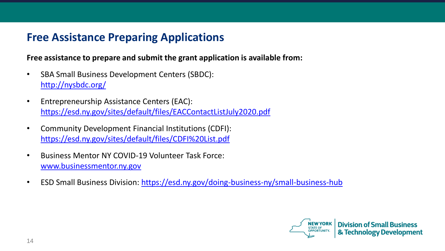### **Free Assistance Preparing Applications**

#### **Free assistance to prepare and submit the grant application is available from:**

- SBA Small Business Development Centers (SBDC): <http://nysbdc.org/>
- Entrepreneurship Assistance Centers (EAC): <https://esd.ny.gov/sites/default/files/EACContactListJuly2020.pdf>
- Community Development Financial Institutions (CDFI): <https://esd.ny.gov/sites/default/files/CDFI%20List.pdf>
- Business Mentor NY COVID-19 Volunteer Task Force: [www.businessmentor.ny.gov](http://www.businessmentor.ny.gov/)
- ESD Small Business Division: <https://esd.ny.gov/doing-business-ny/small-business-hub>